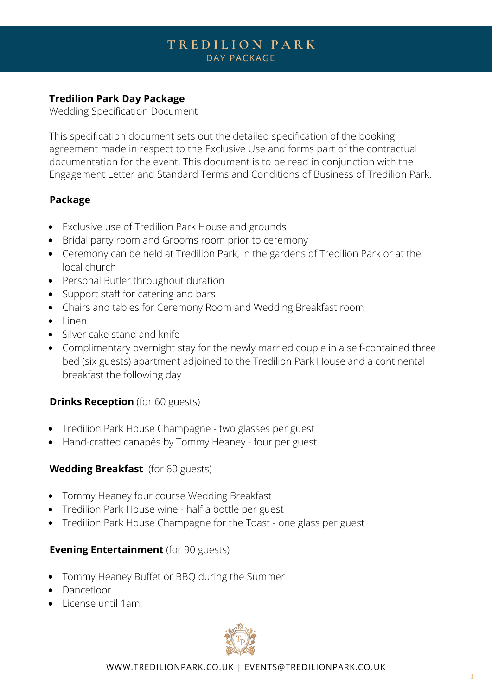# **T R E D I L I O N P A R K** DAY PACKAGE

### **Tredilion Park Day Package**

Wedding Specification Document

This specification document sets out the detailed specification of the booking agreement made in respect to the Exclusive Use and forms part of the contractual documentation for the event. This document is to be read in conjunction with the Engagement Letter and Standard Terms and Conditions of Business of Tredilion Park.

#### **Package**

- Exclusive use of Tredilion Park House and grounds
- Bridal party room and Grooms room prior to ceremony
- Ceremony can be held at Tredilion Park, in the gardens of Tredilion Park or at the local church
- Personal Butler throughout duration
- Support staff for catering and bars
- Chairs and tables for Ceremony Room and Wedding Breakfast room
- Linen
- Silver cake stand and knife
- Complimentary overnight stay for the newly married couple in a self-contained three bed (six guests) apartment adjoined to the Tredilion Park House and a continental breakfast the following day

### **Drinks Reception** (for 60 guests)

- Tredilion Park House Champagne two glasses per guest
- Hand-crafted canapés by Tommy Heaney four per guest

### **Wedding Breakfast** (for 60 guests)

- Tommy Heaney four course Wedding Breakfast
- Tredilion Park House wine half a bottle per guest
- Tredilion Park House Champagne for the Toast one glass per guest

### **Evening Entertainment** (for 90 guests)

- Tommy Heaney Buffet or BBQ during the Summer
- Dancefloor
- $\bullet$  License until 1am.